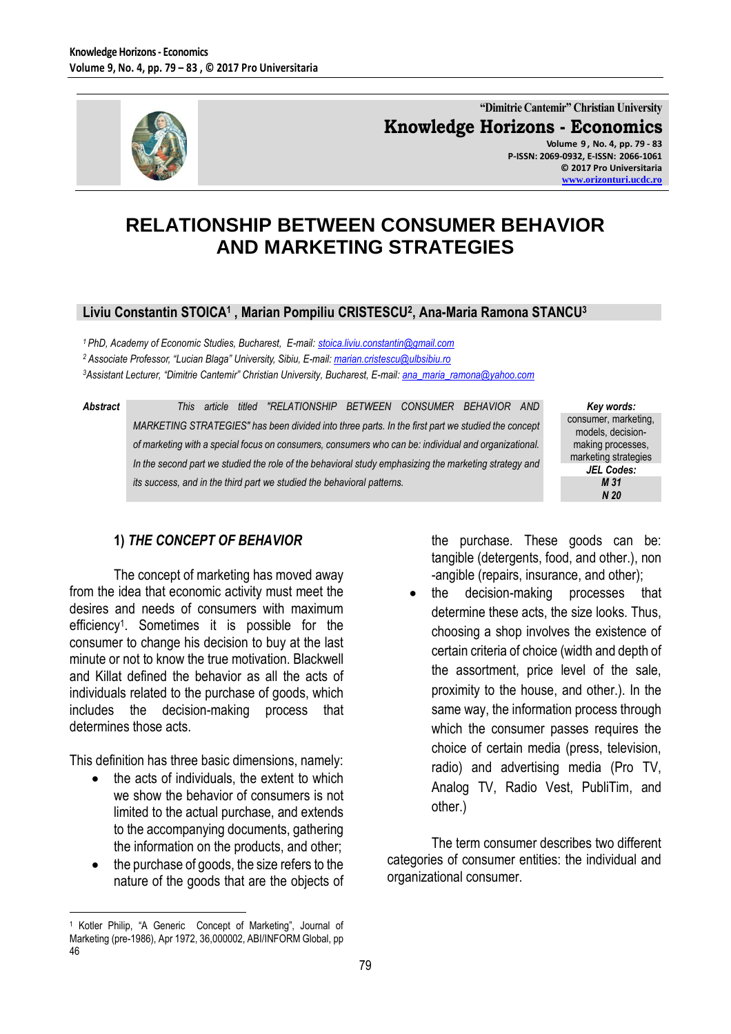

**"Dimitrie Cantemir" Christian University Knowledge Horizons - Economics**

**Volume 9 , No. 4, pp. 79 - 83 P-ISSN: 2069-0932, E-ISSN: 2066-1061 © 2017 Pro Universitaria [www.orizonturi.ucdc.ro](http://www.orizonturi.ucdc.ro/)**

# **RELATIONSHIP BETWEEN CONSUMER BEHAVIOR AND MARKETING STRATEGIES**

#### **Liviu Constantin STOICA<sup>1</sup> , Marian Pompiliu CRISTESCU<sup>2</sup> , Ana-Maria Ramona STANCU<sup>3</sup>**

*<sup>1</sup> PhD, Academy of Economic Studies, Bucharest, E-mail: [stoica.liviu.constantin@gmail.com](mailto:stoica.liviu.constantin@gmail.com)  <sup>2</sup> Associate Professor, "Lucian Blaga" University, Sibiu, E-mail: [marian.cristescu@ulbsibiu.ro](mailto:marian.cristescu@ulbsibiu.ro) <sup>3</sup>Assistant Lecturer, "Dimitrie Cantemir" Christian University, Bucharest, E-mail[: ana\\_maria\\_ramona@yahoo.com](mailto:ana_maria_ramona@yahoo.com)*

*Abstract This article titled "RELATIONSHIP BETWEEN CONSUMER BEHAVIOR AND MARKETING STRATEGIES" has been divided into three parts. In the first part we studied the concept of marketing with a special focus on consumers, consumers who can be: individual and organizational. In the second part we studied the role of the behavioral study emphasizing the marketing strategy and its success, and in the third part we studied the behavioral patterns.*

*Key words:* consumer, marketing, models, decisionmaking processes, marketing strategies *JEL Codes: M 31 N 20*

#### **1)** *THE CONCEPT OF BEHAVIOR*

The concept of marketing has moved away from the idea that economic activity must meet the desires and needs of consumers with maximum efficiency<sup>1</sup> . Sometimes it is possible for the consumer to change his decision to buy at the last minute or not to know the true motivation. Blackwell and Killat defined the behavior as all the acts of individuals related to the purchase of goods, which includes the decision-making process that determines those acts.

This definition has three basic dimensions, namely:

- $\bullet$  the acts of individuals, the extent to which we show the behavior of consumers is not limited to the actual purchase, and extends to the accompanying documents, gathering the information on the products, and other;
- the purchase of goods, the size refers to the nature of the goods that are the objects of

the purchase. These goods can be: tangible (detergents, food, and other.), non -angible (repairs, insurance, and other);

 the decision-making processes that determine these acts, the size looks. Thus, choosing a shop involves the existence of certain criteria of choice (width and depth of the assortment, price level of the sale, proximity to the house, and other.). In the same way, the information process through which the consumer passes requires the choice of certain media (press, television, radio) and advertising media (Pro TV, Analog TV, Radio Vest, PubliTim, and other.)

The term consumer describes two different categories of consumer entities: the individual and organizational consumer.

 $\overline{a}$ <sup>1</sup> Kotler Philip, "A Generic Concept of Marketing", Journal of Marketing (pre-1986), Apr 1972, 36,000002, ABI/INFORM Global, pp 46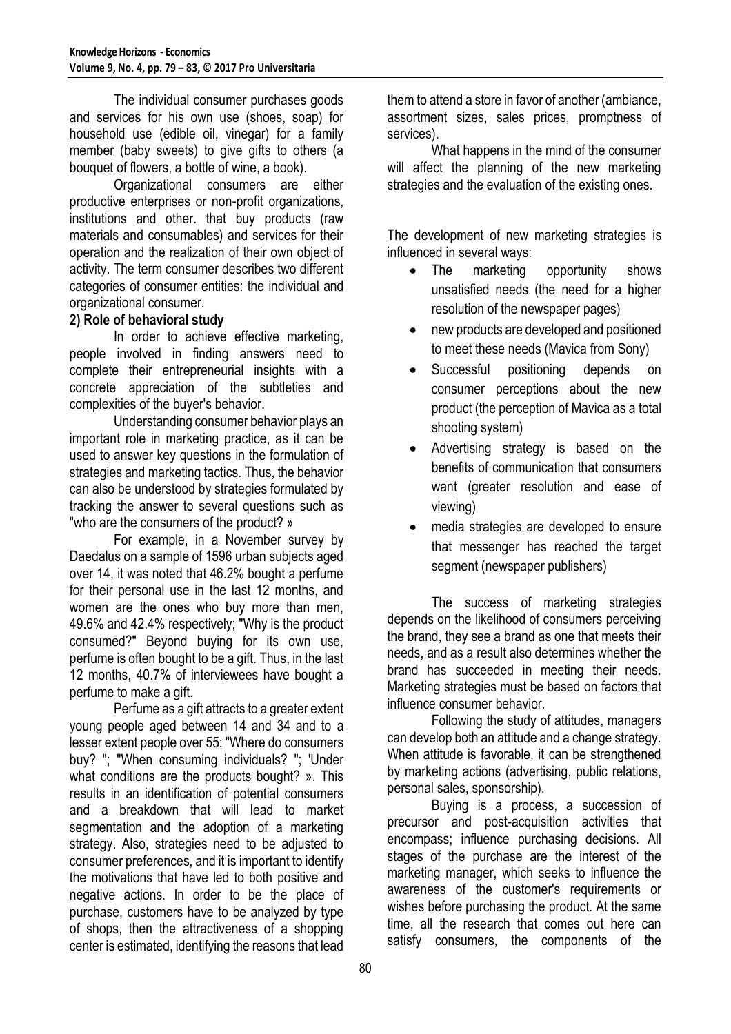The individual consumer purchases goods and services for his own use (shoes, soap) for household use (edible oil, vinegar) for a family member (baby sweets) to give gifts to others (a bouquet of flowers, a bottle of wine, a book).

Organizational consumers are either productive enterprises or non-profit organizations, institutions and other. that buy products (raw materials and consumables) and services for their operation and the realization of their own object of activity. The term consumer describes two different categories of consumer entities: the individual and organizational consumer.

#### **2) Role of behavioral study**

In order to achieve effective marketing, people involved in finding answers need to complete their entrepreneurial insights with a concrete appreciation of the subtleties and complexities of the buyer's behavior.

Understanding consumer behavior plays an important role in marketing practice, as it can be used to answer key questions in the formulation of strategies and marketing tactics. Thus, the behavior can also be understood by strategies formulated by tracking the answer to several questions such as "who are the consumers of the product? »

For example, in a November survey by Daedalus on a sample of 1596 urban subjects aged over 14, it was noted that 46.2% bought a perfume for their personal use in the last 12 months, and women are the ones who buy more than men, 49.6% and 42.4% respectively; "Why is the product consumed?" Beyond buying for its own use, perfume is often bought to be a gift. Thus, in the last 12 months, 40.7% of interviewees have bought a perfume to make a gift.

Perfume as a gift attracts to a greater extent young people aged between 14 and 34 and to a lesser extent people over 55; "Where do consumers buy? "; "When consuming individuals? "; 'Under what conditions are the products bought? ». This results in an identification of potential consumers and a breakdown that will lead to market segmentation and the adoption of a marketing strategy. Also, strategies need to be adjusted to consumer preferences, and it is important to identify the motivations that have led to both positive and negative actions. In order to be the place of purchase, customers have to be analyzed by type of shops, then the attractiveness of a shopping center is estimated, identifying the reasons that lead

them to attend a store in favor of another (ambiance, assortment sizes, sales prices, promptness of services).

 What happens in the mind of the consumer will affect the planning of the new marketing strategies and the evaluation of the existing ones.

The development of new marketing strategies is influenced in several ways:

- The marketing opportunity shows unsatisfied needs (the need for a higher resolution of the newspaper pages)
- new products are developed and positioned to meet these needs (Mavica from Sony)
- Successful positioning depends on consumer perceptions about the new product (the perception of Mavica as a total shooting system)
- Advertising strategy is based on the benefits of communication that consumers want (greater resolution and ease of viewing)
- media strategies are developed to ensure that messenger has reached the target segment (newspaper publishers)

The success of marketing strategies depends on the likelihood of consumers perceiving the brand, they see a brand as one that meets their needs, and as a result also determines whether the brand has succeeded in meeting their needs. Marketing strategies must be based on factors that influence consumer behavior.

Following the study of attitudes, managers can develop both an attitude and a change strategy. When attitude is favorable, it can be strengthened by marketing actions (advertising, public relations, personal sales, sponsorship).

Buying is a process, a succession of precursor and post-acquisition activities that encompass; influence purchasing decisions. All stages of the purchase are the interest of the marketing manager, which seeks to influence the awareness of the customer's requirements or wishes before purchasing the product. At the same time, all the research that comes out here can satisfy consumers, the components of the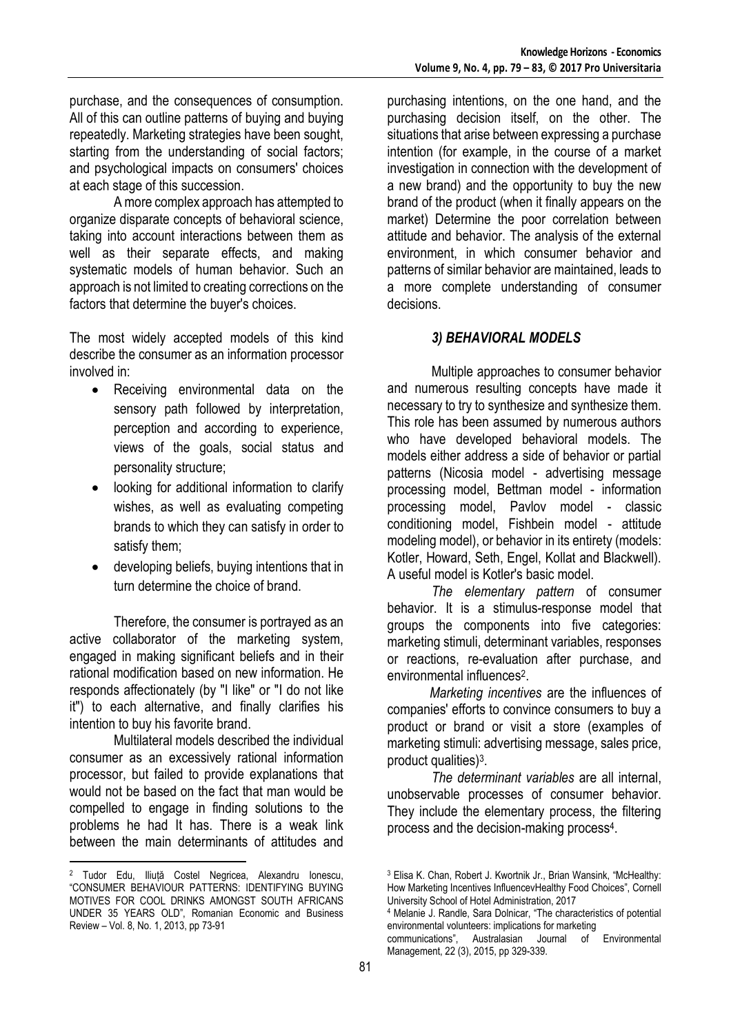purchase, and the consequences of consumption. All of this can outline patterns of buying and buying repeatedly. Marketing strategies have been sought, starting from the understanding of social factors; and psychological impacts on consumers' choices at each stage of this succession.

A more complex approach has attempted to organize disparate concepts of behavioral science, taking into account interactions between them as well as their separate effects, and making systematic models of human behavior. Such an approach is not limited to creating corrections on the factors that determine the buyer's choices.

The most widely accepted models of this kind describe the consumer as an information processor involved in:

- Receiving environmental data on the sensory path followed by interpretation, perception and according to experience, views of the goals, social status and personality structure;
- looking for additional information to clarify wishes, as well as evaluating competing brands to which they can satisfy in order to satisfy them;
- developing beliefs, buying intentions that in turn determine the choice of brand.

Therefore, the consumer is portrayed as an active collaborator of the marketing system, engaged in making significant beliefs and in their rational modification based on new information. He responds affectionately (by "I like" or "I do not like it") to each alternative, and finally clarifies his intention to buy his favorite brand.

Multilateral models described the individual consumer as an excessively rational information processor, but failed to provide explanations that would not be based on the fact that man would be compelled to engage in finding solutions to the problems he had It has. There is a weak link between the main determinants of attitudes and

 $\overline{a}$ 

purchasing intentions, on the one hand, and the purchasing decision itself, on the other. The situations that arise between expressing a purchase intention (for example, in the course of a market investigation in connection with the development of a new brand) and the opportunity to buy the new brand of the product (when it finally appears on the market) Determine the poor correlation between attitude and behavior. The analysis of the external environment, in which consumer behavior and patterns of similar behavior are maintained, leads to a more complete understanding of consumer decisions.

### *3) BEHAVIORAL MODELS*

Multiple approaches to consumer behavior and numerous resulting concepts have made it necessary to try to synthesize and synthesize them. This role has been assumed by numerous authors who have developed behavioral models. The models either address a side of behavior or partial patterns (Nicosia model - advertising message processing model, Bettman model - information processing model, Pavlov model - classic conditioning model, Fishbein model - attitude modeling model), or behavior in its entirety (models: Kotler, Howard, Seth, Engel, Kollat and Blackwell). A useful model is Kotler's basic model.

*The elementary pattern* of consumer behavior. It is a stimulus-response model that groups the components into five categories: marketing stimuli, determinant variables, responses or reactions, re-evaluation after purchase, and environmental influences<sup>2</sup>.

 *Marketing incentives* are the influences of companies' efforts to convince consumers to buy a product or brand or visit a store (examples of marketing stimuli: advertising message, sales price, product qualities)<sup>3</sup>.

*The determinant variables* are all internal, unobservable processes of consumer behavior. They include the elementary process, the filtering process and the decision-making process<sup>4</sup>.

Management, 22 (3), 2015, pp 329-339.

<sup>&</sup>lt;sup>2</sup> Tudor Edu, Iliuță Costel Negricea, Alexandru Ionescu, "CONSUMER BEHAVIOUR PATTERNS: IDENTIFYING BUYING MOTIVES FOR COOL DRINKS AMONGST SOUTH AFRICANS UNDER 35 YEARS OLD", Romanian Economic and Business Review – Vol. 8, No. 1, 2013, pp 73-91

<sup>3</sup> Elisa K. Chan, Robert J. Kwortnik Jr., Brian Wansink, "McHealthy: How Marketing Incentives InfluencevHealthy Food Choices", Cornell University School of Hotel Administration, 2017

<sup>4</sup> Melanie J. Randle, Sara Dolnicar, "The characteristics of potential environmental volunteers: implications for marketing communications", Australasian Journal of Environmental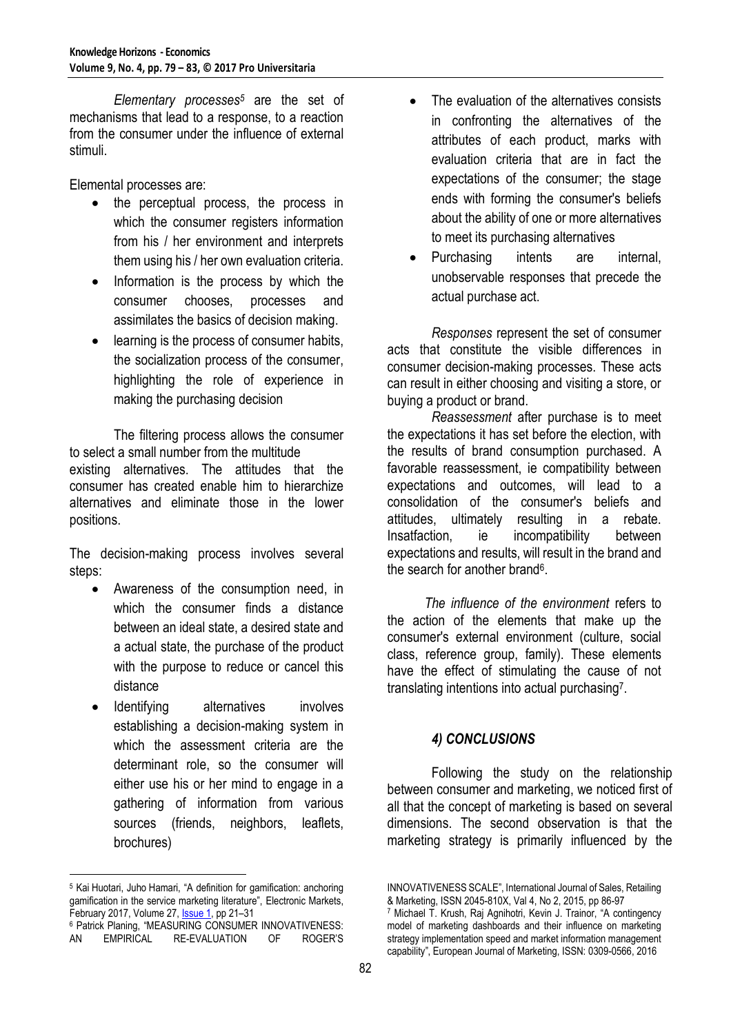*Elementary processes<sup>5</sup>* are the set of mechanisms that lead to a response, to a reaction from the consumer under the influence of external stimuli.

Elemental processes are:

- the perceptual process, the process in which the consumer registers information from his / her environment and interprets them using his / her own evaluation criteria.
- Information is the process by which the consumer chooses, processes and assimilates the basics of decision making.
- learning is the process of consumer habits, the socialization process of the consumer, highlighting the role of experience in making the purchasing decision

The filtering process allows the consumer to select a small number from the multitude existing alternatives. The attitudes that the consumer has created enable him to hierarchize alternatives and eliminate those in the lower positions.

The decision-making process involves several steps:

- Awareness of the consumption need, in which the consumer finds a distance between an ideal state, a desired state and a actual state, the purchase of the product with the purpose to reduce or cancel this distance
- Identifying alternatives involves establishing a decision-making system in which the assessment criteria are the determinant role, so the consumer will either use his or her mind to engage in a gathering of information from various sources (friends, neighbors, leaflets, brochures)

 $\overline{a}$ 

- The evaluation of the alternatives consists in confronting the alternatives of the attributes of each product, marks with evaluation criteria that are in fact the expectations of the consumer; the stage ends with forming the consumer's beliefs about the ability of one or more alternatives to meet its purchasing alternatives
- Purchasing intents are internal, unobservable responses that precede the actual purchase act.

*Responses* represent the set of consumer acts that constitute the visible differences in consumer decision-making processes. These acts can result in either choosing and visiting a store, or buying a product or brand.

*Reassessment* after purchase is to meet the expectations it has set before the election, with the results of brand consumption purchased. A favorable reassessment, ie compatibility between expectations and outcomes, will lead to a consolidation of the consumer's beliefs and attitudes, ultimately resulting in a rebate. Insatfaction, ie incompatibility between expectations and results, will result in the brand and the search for another brand<sup>6</sup>.

 *The influence of the environment* refers to the action of the elements that make up the consumer's external environment (culture, social class, reference group, family). These elements have the effect of stimulating the cause of not translating intentions into actual purchasing<sup>7</sup>.

## *4) CONCLUSIONS*

Following the study on the relationship between consumer and marketing, we noticed first of all that the concept of marketing is based on several dimensions. The second observation is that the marketing strategy is primarily influenced by the

<sup>5</sup> Kai Huotari, Juho Hamari, "A definition for gamification: anchoring gamification in the service marketing literature", [Electronic Markets,](https://link.springer.com/journal/12525)  February 2017, Volume 27, **Issue 1**, pp 21-31

<sup>&</sup>lt;sup>6</sup> Patrick Planing, "MEASURING CONSUMER INNOVATIVENESS:<br>AN EMPIRICAL RE-EVALUATION OF ROGER'S RE-EVALUATION

INNOVATIVENESS SCALE", International Journal of Sales, Retailing & Marketing, ISSN 2045-810X, Val 4, No 2, 2015, pp 86-97 <sup>7</sup> Michael T. Krush, Raj Agnihotri, Kevin J. Trainor, "A contingency model of marketing dashboards and their influence on marketing strategy implementation speed and market information management capability", European Journal of Marketing, ISSN: 0309-0566, 2016